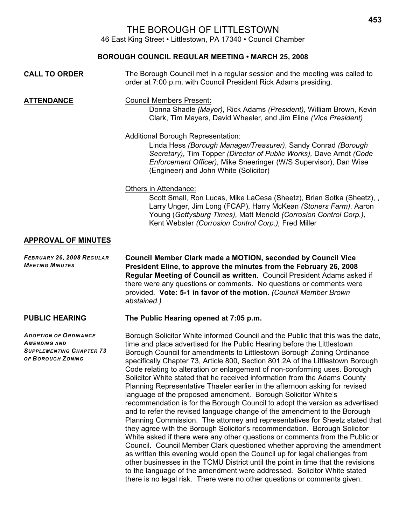# THE BOROUGH OF LITTLESTOWN

46 East King Street • Littlestown, PA 17340 • Council Chamber

## **BOROUGH COUNCIL REGULAR MEETING • MARCH 25, 2008**

| <b>CALL TO ORDER</b>                                | The Borough Council met in a regular session and the meeting was called to<br>order at 7:00 p.m. with Council President Rick Adams presiding.                                                                                                                                                                                                             |
|-----------------------------------------------------|-----------------------------------------------------------------------------------------------------------------------------------------------------------------------------------------------------------------------------------------------------------------------------------------------------------------------------------------------------------|
| <b>ATTENDANCE</b>                                   | <b>Council Members Present:</b><br>Donna Shadle (Mayor), Rick Adams (President), William Brown, Kevin<br>Clark, Tim Mayers, David Wheeler, and Jim Eline (Vice President)                                                                                                                                                                                 |
|                                                     | <b>Additional Borough Representation:</b><br>Linda Hess (Borough Manager/Treasurer), Sandy Conrad (Borough<br>Secretary), Tim Topper (Director of Public Works), Dave Arndt (Code<br>Enforcement Officer), Mike Sneeringer (W/S Supervisor), Dan Wise<br>(Engineer) and John White (Solicitor)                                                            |
|                                                     | Others in Attendance:<br>Scott Small, Ron Lucas, Mike LaCesa (Sheetz), Brian Sotka (Sheetz), ,<br>Larry Unger, Jim Long (FCAP), Harry McKean (Stoners Farm), Aaron<br>Young (Gettysburg Times), Matt Menold (Corrosion Control Corp.),<br>Kent Webster (Corrosion Control Corp.), Fred Miller                                                             |
| <b>APPROVAL OF MINUTES</b>                          |                                                                                                                                                                                                                                                                                                                                                           |
| FEBRUARY 26, 2008 REGULAR<br><b>MEETING MINUTES</b> | Council Member Clark made a MOTION, seconded by Council Vice<br>President Eline, to approve the minutes from the February 26, 2008<br>Regular Meeting of Council as written. Council President Adams asked if<br>there were any questions or comments. No questions or comments were<br>provided. Vote: 5-1 in favor of the motion. (Council Member Brown |

*ADOPTION OF ORDINANCE AMENDING AND SUPPLEMENTING CHAPTER 73 OF BOROUGH ZONING*

## **PUBLIC HEARING The Public Hearing opened at 7:05 p.m.**

*abstained.)*

Borough Solicitor White informed Council and the Public that this was the date, time and place advertised for the Public Hearing before the Littlestown Borough Council for amendments to Littlestown Borough Zoning Ordinance specifically Chapter 73, Article 800, Section 801.2A of the Littlestown Borough Code relating to alteration or enlargement of non-conforming uses. Borough Solicitor White stated that he received information from the Adams County Planning Representative Thaeler earlier in the afternoon asking for revised language of the proposed amendment. Borough Solicitor White's recommendation is for the Borough Council to adopt the version as advertised and to refer the revised language change of the amendment to the Borough Planning Commission. The attorney and representatives for Sheetz stated that they agree with the Borough Solicitor's recommendation. Borough Solicitor White asked if there were any other questions or comments from the Public or Council. Council Member Clark questioned whether approving the amendment as written this evening would open the Council up for legal challenges from other businesses in the TCMU District until the point in time that the revisions to the language of the amendment were addressed. Solicitor White stated there is no legal risk. There were no other questions or comments given.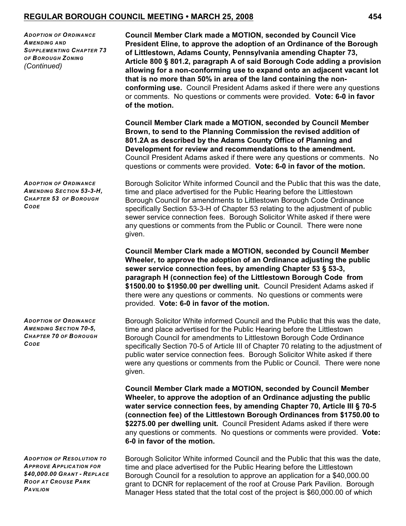*ADOPTION OF ORDINANCE AMENDING AND SUPPLEMENTING CHAPTER 73 OF BOROUGH ZONING (Continued)*

**Council Member Clark made a MOTION, seconded by Council Vice President Eline, to approve the adoption of an Ordinance of the Borough of Littlestown, Adams County, Pennsylvania amending Chapter 73, Article 800 § 801.2, paragraph A of said Borough Code adding a provision allowing for a non-conforming use to expand onto an adjacent vacant lot that is no more than 50% in area of the land containing the nonconforming use.** Council President Adams asked if there were any questions or comments. No questions or comments were provided. **Vote: 6-0 in favor of the motion.** 

**Council Member Clark made a MOTION, seconded by Council Member Brown, to send to the Planning Commission the revised addition of 801.2A as described by the Adams County Office of Planning and Development for review and recommendations to the amendment.** Council President Adams asked if there were any questions or comments. No questions or comments were provided. **Vote: 6-0 in favor of the motion.**

Borough Solicitor White informed Council and the Public that this was the date, time and place advertised for the Public Hearing before the Littlestown Borough Council for amendments to Littlestown Borough Code Ordinance specifically Section 53-3-H of Chapter 53 relating to the adjustment of public sewer service connection fees. Borough Solicitor White asked if there were any questions or comments from the Public or Council. There were none given.

**Council Member Clark made a MOTION, seconded by Council Member Wheeler, to approve the adoption of an Ordinance adjusting the public sewer service connection fees, by amending Chapter 53 § 53-3, paragraph H (connection fee) of the Littlestown Borough Code from \$1500.00 to \$1950.00 per dwelling unit.** Council President Adams asked if there were any questions or comments. No questions or comments were provided. **Vote: 6-0 in favor of the motion.** 

Borough Solicitor White informed Council and the Public that this was the date, time and place advertised for the Public Hearing before the Littlestown Borough Council for amendments to Littlestown Borough Code Ordinance specifically Section 70-5 of Article III of Chapter 70 relating to the adjustment of public water service connection fees. Borough Solicitor White asked if there were any questions or comments from the Public or Council. There were none given.

**Council Member Clark made a MOTION, seconded by Council Member Wheeler, to approve the adoption of an Ordinance adjusting the public water service connection fees, by amending Chapter 70, Article III § 70-5 (connection fee) of the Littlestown Borough Ordinances from \$1750.00 to \$2275.00 per dwelling unit.** Council President Adams asked if there were any questions or comments. No questions or comments were provided. **Vote: 6-0 in favor of the motion.** 

*ADOPTION OF RESOLUTION TO APPROVE APPLICATION FOR \$40,000.00 GRANT - REPLACE ROOF AT CROUSE PARK PAVILION*

Borough Solicitor White informed Council and the Public that this was the date, time and place advertised for the Public Hearing before the Littlestown Borough Council for a resolution to approve an application for a \$40,000.00 grant to DCNR for replacement of the roof at Crouse Park Pavilion. Borough Manager Hess stated that the total cost of the project is \$60,000.00 of which

*ADOPTION OF ORDINANCE AMENDING SECTION 53-3-H, CHAPTER 53 OF BOROUGH CODE*

*ADOPTION OF ORDINANCE AMENDING SECTION 70-5, CHAPTER 70 OF BOROUGH CODE*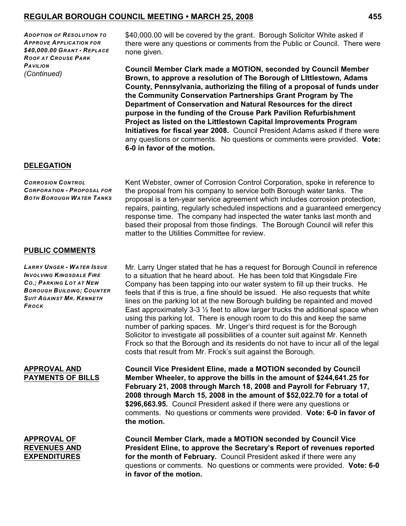*ADOPTION OF RESOLUTION TO APPROVE APPLICATION FOR \$40,000.00 GRANT - REPLACE ROOF AT CROUSE PARK PAVILION (Continued)*

\$40,000.00 will be covered by the grant. Borough Solicitor White asked if there were any questions or comments from the Public or Council. There were none given.

**Council Member Clark made a MOTION, seconded by Council Member Brown, to approve a resolution of The Borough of LIttlestown, Adams County, Pennsylvania, authorizing the filing of a proposal of funds under the Community Conservation Partnerships Grant Program by The Department of Conservation and Natural Resources for the direct purpose in the funding of the Crouse Park Pavilion Refurbishment Project as listed on the Littlestown Capital Improvements Program Initiatives for fiscal year 2008.** Council President Adams asked if there were any questions or comments. No questions or comments were provided. **Vote: 6-0 in favor of the motion.** 

#### **DELEGATION**

*CORROSION CONTROL CORPORATION - PROPOSAL FOR BOTH BOROUGH WATER TANKS*

**PUBLIC COMMENTS**

*LARRY UNGER - WATER ISSUE INVOLVING KINGSDALE FIRE CO.; PARKING LOT AT NEW BOROUGH BUILDING; COUNTER SUIT AGAINST MR. KENNETH FROCK*

#### **APPROVAL AND PAYMENTS OF BILLS**

## **APPROVAL OF REVENUES AND EXPENDITURES**

Kent Webster, owner of Corrosion Control Corporation, spoke in reference to the proposal from his company to service both Borough water tanks. The proposal is a ten-year service agreement which includes corrosion protection, repairs, painting, regularly scheduled inspections and a guaranteed emergency response time. The company had inspected the water tanks last month and based their proposal from those findings. The Borough Council will refer this matter to the Utilities Committee for review.

Mr. Larry Unger stated that he has a request for Borough Council in reference to a situation that he heard about. He has been told that Kingsdale Fire Company has been tapping into our water system to fill up their trucks. He feels that if this is true, a fine should be issued. He also requests that white lines on the parking lot at the new Borough building be repainted and moved East approximately 3-3  $\frac{1}{2}$  feet to allow larger trucks the additional space when using this parking lot. There is enough room to do this and keep the same number of parking spaces. Mr. Unger's third request is for the Borough Solicitor to investigate all possibilities of a counter suit against Mr. Kenneth Frock so that the Borough and its residents do not have to incur all of the legal costs that result from Mr. Frock's suit against the Borough.

**Council Vice President Eline, made a MOTION seconded by Council Member Wheeler, to approve the bills in the amount of \$244,641.25 for February 21, 2008 through March 18, 2008 and Payroll for February 17, 2008 through March 15, 2008 in the amount of \$52,022.70 for a total of \$296,663.95.** Council President asked if there were any questions or comments. No questions or comments were provided. **Vote: 6-0 in favor of the motion.**

**Council Member Clark, made a MOTION seconded by Council Vice President Eline, to approve the Secretary's Report of revenues reported for the month of February.** Council President asked if there were any questions or comments. No questions or comments were provided. **Vote: 6-0 in favor of the motion.**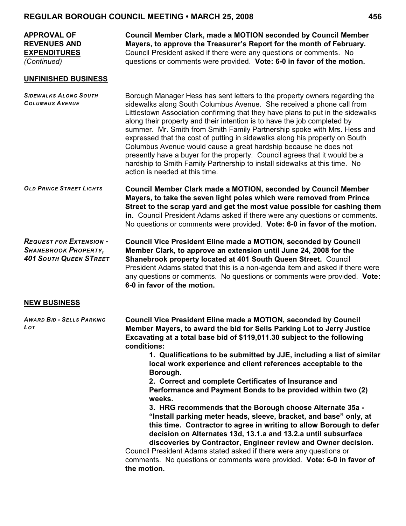| <b>APPROVAL OF</b><br><b>REVENUES AND</b><br><b>EXPENDITURES</b><br>(Continued)                | <b>Council Member Clark, made a MOTION seconded by Council Member</b><br>Mayers, to approve the Treasurer's Report for the month of February.<br>Council President asked if there were any questions or comments. No<br>questions or comments were provided. Vote: 6-0 in favor of the motion.                                                                                                                                                                                                                                                                                                                                                                                                                                                                                                                                                                                                                                                                                                                                                   |
|------------------------------------------------------------------------------------------------|--------------------------------------------------------------------------------------------------------------------------------------------------------------------------------------------------------------------------------------------------------------------------------------------------------------------------------------------------------------------------------------------------------------------------------------------------------------------------------------------------------------------------------------------------------------------------------------------------------------------------------------------------------------------------------------------------------------------------------------------------------------------------------------------------------------------------------------------------------------------------------------------------------------------------------------------------------------------------------------------------------------------------------------------------|
| <b>UNFINISHED BUSINESS</b>                                                                     |                                                                                                                                                                                                                                                                                                                                                                                                                                                                                                                                                                                                                                                                                                                                                                                                                                                                                                                                                                                                                                                  |
| <b>SIDEWALKS ALONG SOUTH</b><br><b>COLUMBUS AVENUE</b>                                         | Borough Manager Hess has sent letters to the property owners regarding the<br>sidewalks along South Columbus Avenue. She received a phone call from<br>Littlestown Association confirming that they have plans to put in the sidewalks<br>along their property and their intention is to have the job completed by<br>summer. Mr. Smith from Smith Family Partnership spoke with Mrs. Hess and<br>expressed that the cost of putting in sidewalks along his property on South<br>Columbus Avenue would cause a great hardship because he does not<br>presently have a buyer for the property. Council agrees that it would be a<br>hardship to Smith Family Partnership to install sidewalks at this time. No<br>action is needed at this time.                                                                                                                                                                                                                                                                                                  |
| <b>OLD PRINCE STREET LIGHTS</b>                                                                | <b>Council Member Clark made a MOTION, seconded by Council Member</b><br>Mayers, to take the seven light poles which were removed from Prince<br>Street to the scrap yard and get the most value possible for cashing them<br>in. Council President Adams asked if there were any questions or comments.<br>No questions or comments were provided. Vote: 6-0 in favor of the motion.                                                                                                                                                                                                                                                                                                                                                                                                                                                                                                                                                                                                                                                            |
| <b>REQUEST FOR EXTENSION -</b><br><b>SHANEBROOK PROPERTY,</b><br><b>401 SOUTH QUEEN STREET</b> | <b>Council Vice President Eline made a MOTION, seconded by Council</b><br>Member Clark, to approve an extension until June 24, 2008 for the<br>Shanebrook property located at 401 South Queen Street. Council<br>President Adams stated that this is a non-agenda item and asked if there were<br>any questions or comments. No questions or comments were provided. Vote:<br>6-0 in favor of the motion.                                                                                                                                                                                                                                                                                                                                                                                                                                                                                                                                                                                                                                        |
| <b>NEW BUSINESS</b>                                                                            |                                                                                                                                                                                                                                                                                                                                                                                                                                                                                                                                                                                                                                                                                                                                                                                                                                                                                                                                                                                                                                                  |
| <b>AWARD BID - SELLS PARKING</b><br>Lot                                                        | <b>Council Vice President Eline made a MOTION, seconded by Council</b><br>Member Mayers, to award the bid for Sells Parking Lot to Jerry Justice<br>Excavating at a total base bid of \$119,011.30 subject to the following<br>conditions:<br>1. Qualifications to be submitted by JJE, including a list of similar<br>local work experience and client references acceptable to the<br>Borough.<br>2. Correct and complete Certificates of Insurance and<br>Performance and Payment Bonds to be provided within two (2)<br>weeks.<br>3. HRG recommends that the Borough choose Alternate 35a -<br>"Install parking meter heads, sleeve, bracket, and base" only, at<br>this time. Contractor to agree in writing to allow Borough to defer<br>decision on Alternates 13d, 13.1.a and 13.2.a until subsurface<br>discoveries by Contractor, Engineer review and Owner decision.<br>Council President Adams stated asked if there were any questions or<br>comments. No questions or comments were provided. Vote: 6-0 in favor of<br>the motion. |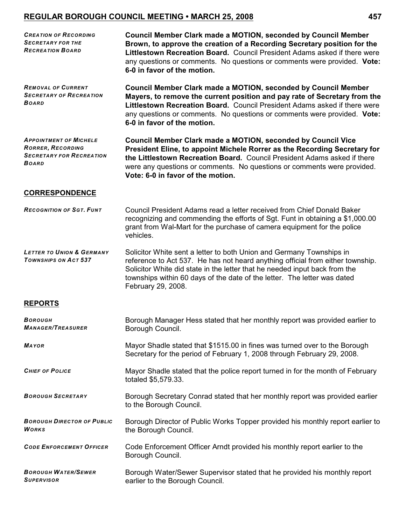| <b>CREATION OF RECORDING</b><br><b>SECRETARY FOR THE</b><br><b>RECREATION BOARD</b>                          | <b>Council Member Clark made a MOTION, seconded by Council Member</b><br>Brown, to approve the creation of a Recording Secretary position for the<br>Littlestown Recreation Board. Council President Adams asked if there were<br>any questions or comments. No questions or comments were provided. Vote:<br>6-0 in favor of the motion.    |
|--------------------------------------------------------------------------------------------------------------|----------------------------------------------------------------------------------------------------------------------------------------------------------------------------------------------------------------------------------------------------------------------------------------------------------------------------------------------|
| <b>REMOVAL OF CURRENT</b><br><b>SECRETARY OF RECREATION</b><br><b>BOARD</b>                                  | <b>Council Member Clark made a MOTION, seconded by Council Member</b><br>Mayers, to remove the current position and pay rate of Secretary from the<br>Littlestown Recreation Board. Council President Adams asked if there were<br>any questions or comments. No questions or comments were provided. Vote:<br>6-0 in favor of the motion.   |
| <b>APPOINTMENT OF MICHELE</b><br><b>RORRER, RECORDING</b><br><b>SECRETARY FOR RECREATION</b><br><b>BOARD</b> | <b>Council Member Clark made a MOTION, seconded by Council Vice</b><br>President Eline, to appoint Michele Rorrer as the Recording Secretary for<br>the Littlestown Recreation Board. Council President Adams asked if there<br>were any questions or comments. No questions or comments were provided.<br>Vote: 6-0 in favor of the motion. |
| <b>CORRESPONDENCE</b>                                                                                        |                                                                                                                                                                                                                                                                                                                                              |
| <b>RECOGNITION OF SGT. FUNT</b>                                                                              | Council President Adams read a letter received from Chief Donald Baker<br>recognizing and commending the efforts of Sgt. Funt in obtaining a \$1,000.00<br>grant from Wal-Mart for the purchase of camera equipment for the police<br>vehicles.                                                                                              |
| <b>LETTER TO UNION &amp; GERMANY</b><br><b>TOWNSHIPS ON ACT 537</b>                                          | Solicitor White sent a letter to both Union and Germany Townships in<br>reference to Act 537. He has not heard anything official from either township.<br>Solicitor White did state in the letter that he needed input back from the<br>townships within 60 days of the date of the letter. The letter was dated<br>February 29, 2008.       |
| <b>REPORTS</b>                                                                                               |                                                                                                                                                                                                                                                                                                                                              |
| Borough<br><i><b>MANAGER/TREASURER</b></i>                                                                   | Borough Manager Hess stated that her monthly report was provided earlier to<br>Borough Council.                                                                                                                                                                                                                                              |
| <b>MAYOR</b>                                                                                                 | Mayor Shadle stated that \$1515.00 in fines was turned over to the Borough<br>Secretary for the period of February 1, 2008 through February 29, 2008.                                                                                                                                                                                        |
| <b>CHIEF OF POLICE</b>                                                                                       | Mayor Shadle stated that the police report turned in for the month of February<br>totaled \$5,579.33.                                                                                                                                                                                                                                        |
| <b>BOROUGH SECRETARY</b>                                                                                     | Borough Secretary Conrad stated that her monthly report was provided earlier<br>to the Borough Council.                                                                                                                                                                                                                                      |
| <b>BOROUGH DIRECTOR OF PUBLIC</b><br><b>WORKS</b>                                                            | Borough Director of Public Works Topper provided his monthly report earlier to<br>the Borough Council.                                                                                                                                                                                                                                       |
| <b>CODE ENFORCEMENT OFFICER</b>                                                                              | Code Enforcement Officer Arndt provided his monthly report earlier to the<br>Borough Council.                                                                                                                                                                                                                                                |
| <b>BOROUGH WATER/SEWER</b><br><b>SUPERVISOR</b>                                                              | Borough Water/Sewer Supervisor stated that he provided his monthly report<br>earlier to the Borough Council.                                                                                                                                                                                                                                 |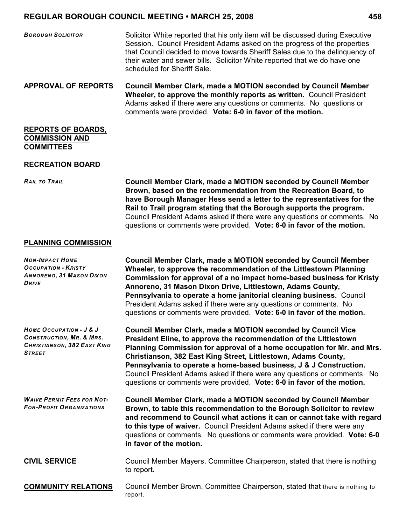*BOROUGH SOLICITOR* Solicitor White reported that his only item will be discussed during Executive Session. Council President Adams asked on the progress of the properties that Council decided to move towards Sheriff Sales due to the delinquency of their water and sewer bills. Solicitor White reported that we do have one scheduled for Sheriff Sale.

**APPROVAL OF REPORTS Council Member Clark, made a MOTION seconded by Council Member Wheeler, to approve the monthly reports as written.** Council President Adams asked if there were any questions or comments. No questions or comments were provided. **Vote: 6-0 in favor of the motion.**

### **REPORTS OF BOARDS, COMMISSION AND COMMITTEES**

#### **RECREATION BOARD**

*RAIL TO TRAIL* **Council Member Clark, made a MOTION seconded by Council Member Brown, based on the recommendation from the Recreation Board, to have Borough Manager Hess send a letter to the representatives for the Rail to Trail program stating that the Borough supports the program.**  Council President Adams asked if there were any questions or comments. No questions or comments were provided. **Vote: 6-0 in favor of the motion.**

## **PLANNING COMMISSION**

| <b>NON-IMPACT HOME</b><br><b>OCCUPATION - KRISTY</b><br><b>ANNORENO, 31 MASON DIXON</b><br><b>DRIVE</b>               | <b>Council Member Clark, made a MOTION seconded by Council Member</b><br>Wheeler, to approve the recommendation of the Littlestown Planning<br>Commission for approval of a no impact home-based business for Kristy<br>Annoreno, 31 Mason Dixon Drive, Littlestown, Adams County,<br>Pennsylvania to operate a home janitorial cleaning business. Council<br>President Adams asked if there were any questions or comments. No<br>questions or comments were provided. Vote: 6-0 in favor of the motion.         |
|-----------------------------------------------------------------------------------------------------------------------|-------------------------------------------------------------------------------------------------------------------------------------------------------------------------------------------------------------------------------------------------------------------------------------------------------------------------------------------------------------------------------------------------------------------------------------------------------------------------------------------------------------------|
| HOME OCCUPATION - J & J<br><b>CONSTRUCTION, MR. &amp; MRS.</b><br><b>CHRISTIANSON, 382 EAST KING</b><br><b>STREET</b> | <b>Council Member Clark, made a MOTION seconded by Council Vice</b><br>President Eline, to approve the recommendation of the Littlestown<br>Planning Commission for approval of a home occupation for Mr. and Mrs.<br>Christianson, 382 East King Street, Littlestown, Adams County,<br>Pennsylvania to operate a home-based business, J & J Construction.<br>Council President Adams asked if there were any questions or comments. No<br>questions or comments were provided. Vote: 6-0 in favor of the motion. |
| <b>WAIVE PERMIT FEES FOR NOT-</b><br><b>FOR-PROFIT ORGANIZATIONS</b>                                                  | <b>Council Member Clark, made a MOTION seconded by Council Member</b><br>Brown, to table this recommendation to the Borough Solicitor to review<br>and recommend to Council what actions it can or cannot take with regard<br>to this type of waiver. Council President Adams asked if there were any<br>questions or comments. No questions or comments were provided. Vote: 6-0<br>in favor of the motion.                                                                                                      |
| <b>CIVIL SERVICE</b>                                                                                                  | Council Member Mayers, Committee Chairperson, stated that there is nothing<br>to report.                                                                                                                                                                                                                                                                                                                                                                                                                          |
| <b>COMMUNITY RELATIONS</b>                                                                                            | Council Member Brown, Committee Chairperson, stated that there is nothing to<br>report.                                                                                                                                                                                                                                                                                                                                                                                                                           |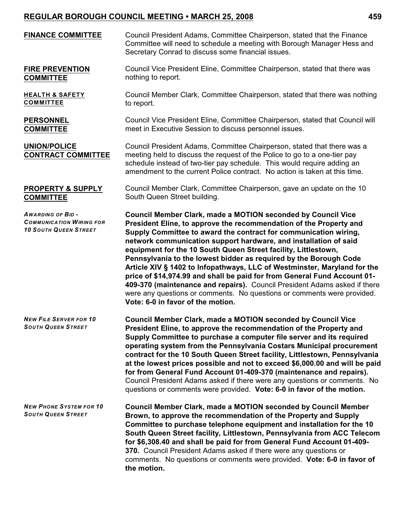| <b>FINANCE COMMITTEE</b>                                                                   | Council President Adams, Committee Chairperson, stated that the Finance<br>Committee will need to schedule a meeting with Borough Manager Hess and<br>Secretary Conrad to discuss some financial issues.                                                                                                                                                                                                                                                                                                                                                                                                                                                                                                                                                                      |
|--------------------------------------------------------------------------------------------|-------------------------------------------------------------------------------------------------------------------------------------------------------------------------------------------------------------------------------------------------------------------------------------------------------------------------------------------------------------------------------------------------------------------------------------------------------------------------------------------------------------------------------------------------------------------------------------------------------------------------------------------------------------------------------------------------------------------------------------------------------------------------------|
| <b>FIRE PREVENTION</b><br><b>COMMITTEE</b>                                                 | Council Vice President Eline, Committee Chairperson, stated that there was<br>nothing to report.                                                                                                                                                                                                                                                                                                                                                                                                                                                                                                                                                                                                                                                                              |
| <b>HEALTH &amp; SAFETY</b><br><b>COMMITTEE</b>                                             | Council Member Clark, Committee Chairperson, stated that there was nothing<br>to report.                                                                                                                                                                                                                                                                                                                                                                                                                                                                                                                                                                                                                                                                                      |
| <b>PERSONNEL</b><br><b>COMMITTEE</b>                                                       | Council Vice President Eline, Committee Chairperson, stated that Council will<br>meet in Executive Session to discuss personnel issues.                                                                                                                                                                                                                                                                                                                                                                                                                                                                                                                                                                                                                                       |
| <b>UNION/POLICE</b><br><b>CONTRACT COMMITTEE</b>                                           | Council President Adams, Committee Chairperson, stated that there was a<br>meeting held to discuss the request of the Police to go to a one-tier pay<br>schedule instead of two-tier pay schedule. This would require adding an<br>amendment to the current Police contract. No action is taken at this time.                                                                                                                                                                                                                                                                                                                                                                                                                                                                 |
| <b>PROPERTY &amp; SUPPLY</b><br><b>COMMITTEE</b>                                           | Council Member Clark, Committee Chairperson, gave an update on the 10<br>South Queen Street building.                                                                                                                                                                                                                                                                                                                                                                                                                                                                                                                                                                                                                                                                         |
| <b>AWARDING OF BID-</b><br><b>COMMUNICATION WIRING FOR</b><br><b>10 SOUTH QUEEN STREET</b> | <b>Council Member Clark, made a MOTION seconded by Council Vice</b><br>President Eline, to approve the recommendation of the Property and<br>Supply Committee to award the contract for communication wiring,<br>network communication support hardware, and installation of said<br>equipment for the 10 South Queen Street facility, Littlestown,<br>Pennsylvania to the lowest bidder as required by the Borough Code<br>Article XIV § 1402 to Infopathways, LLC of Westminster, Maryland for the<br>price of \$14,974.99 and shall be paid for from General Fund Account 01-<br>409-370 (maintenance and repairs). Council President Adams asked if there<br>were any questions or comments. No questions or comments were provided.<br>Vote: 6-0 in favor of the motion. |
| <b>NEW FILE SERVER FOR 10</b><br><b>SOUTH QUEEN STREET</b>                                 | Council Member Clark, made a MOTION seconded by Council Vice<br>President Eline, to approve the recommendation of the Property and<br>Supply Committee to purchase a computer file server and its required<br>operating system from the Pennsylvania Costars Municipal procurement<br>contract for the 10 South Queen Street facility, Littlestown, Pennsylvania<br>at the lowest prices possible and not to exceed \$6,000.00 and will be paid<br>for from General Fund Account 01-409-370 (maintenance and repairs).<br>Council President Adams asked if there were any questions or comments. No<br>questions or comments were provided. Vote: 6-0 in favor of the motion.                                                                                                 |
| <b>NEW PHONE SYSTEM FOR 10</b><br><b>SOUTH QUEEN STREET</b>                                | <b>Council Member Clark, made a MOTION seconded by Council Member</b><br>Brown, to approve the recommendation of the Property and Supply<br>Committee to purchase telephone equipment and installation for the 10<br>South Queen Street facility, Littlestown, Pennsylvania from ACC Telecom<br>for \$6,308.40 and shall be paid for from General Fund Account 01-409-<br>370. Council President Adams asked if there were any questions or<br>comments. No questions or comments were provided. Vote: 6-0 in favor of<br>the motion.                                                                                                                                                                                                                                         |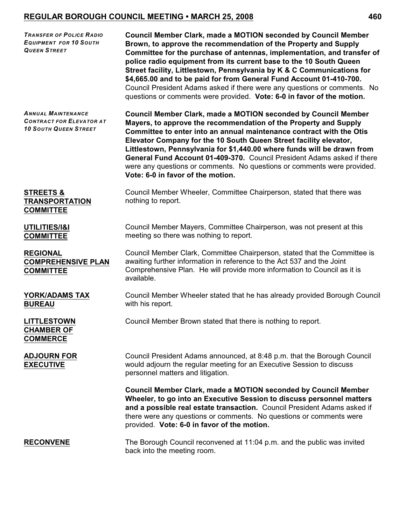| <b>TRANSFER OF POLICE RADIO</b><br><b>EQUIPMENT FOR 10 SOUTH</b><br><b>QUEEN STREET</b>      | Council Member Clark, made a MOTION seconded by Council Member<br>Brown, to approve the recommendation of the Property and Supply<br>Committee for the purchase of antennas, implementation, and transfer of<br>police radio equipment from its current base to the 10 South Queen<br>Street facility, Littlestown, Pennsylvania by K & C Communications for<br>\$4,665.00 and to be paid for from General Fund Account 01-410-700.<br>Council President Adams asked if there were any questions or comments. No<br>questions or comments were provided. Vote: 6-0 in favor of the motion. |
|----------------------------------------------------------------------------------------------|--------------------------------------------------------------------------------------------------------------------------------------------------------------------------------------------------------------------------------------------------------------------------------------------------------------------------------------------------------------------------------------------------------------------------------------------------------------------------------------------------------------------------------------------------------------------------------------------|
| <b>ANNUAL MAINTENANCE</b><br><b>CONTRACT FOR ELEVATOR AT</b><br><b>10 SOUTH QUEEN STREET</b> | <b>Council Member Clark, made a MOTION seconded by Council Member</b><br>Mayers, to approve the recommendation of the Property and Supply<br>Committee to enter into an annual maintenance contract with the Otis<br>Elevator Company for the 10 South Queen Street facility elevator,<br>Littlestown, Pennsylvania for \$1,440.00 where funds will be drawn from<br>General Fund Account 01-409-370. Council President Adams asked if there<br>were any questions or comments. No questions or comments were provided.<br>Vote: 6-0 in favor of the motion.                               |
| <b>STREETS &amp;</b><br><b>TRANSPORTATION</b><br><b>COMMITTEE</b>                            | Council Member Wheeler, Committee Chairperson, stated that there was<br>nothing to report.                                                                                                                                                                                                                                                                                                                                                                                                                                                                                                 |
| UTILITIES/I&I<br><b>COMMITTEE</b>                                                            | Council Member Mayers, Committee Chairperson, was not present at this<br>meeting so there was nothing to report.                                                                                                                                                                                                                                                                                                                                                                                                                                                                           |
| <b>REGIONAL</b><br><b>COMPREHENSIVE PLAN</b><br><b>COMMITTEE</b>                             | Council Member Clark, Committee Chairperson, stated that the Committee is<br>awaiting further information in reference to the Act 537 and the Joint<br>Comprehensive Plan. He will provide more information to Council as it is<br>available.                                                                                                                                                                                                                                                                                                                                              |
| YORK/ADAMS TAX<br><b>BUREAU</b>                                                              | Council Member Wheeler stated that he has already provided Borough Council<br>with his report.                                                                                                                                                                                                                                                                                                                                                                                                                                                                                             |
| <b>LITTLESTOWN</b><br><b>CHAMBER OF</b><br><b>COMMERCE</b>                                   | Council Member Brown stated that there is nothing to report.                                                                                                                                                                                                                                                                                                                                                                                                                                                                                                                               |
| <b>ADJOURN FOR</b><br><b>EXECUTIVE</b>                                                       | Council President Adams announced, at 8:48 p.m. that the Borough Council<br>would adjourn the regular meeting for an Executive Session to discuss<br>personnel matters and litigation.                                                                                                                                                                                                                                                                                                                                                                                                     |
|                                                                                              | Council Member Clark, made a MOTION seconded by Council Member<br>Wheeler, to go into an Executive Session to discuss personnel matters<br>and a possible real estate transaction. Council President Adams asked if<br>there were any questions or comments. No questions or comments were<br>provided. Vote: 6-0 in favor of the motion.                                                                                                                                                                                                                                                  |
| <b>RECONVENE</b>                                                                             | The Borough Council reconvened at 11:04 p.m. and the public was invited<br>back into the meeting room.                                                                                                                                                                                                                                                                                                                                                                                                                                                                                     |